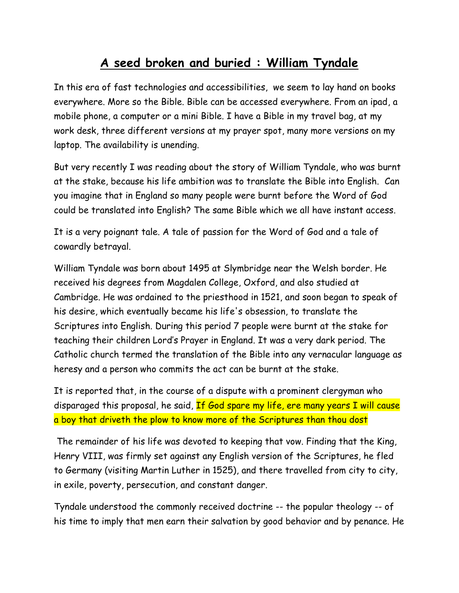## **A seed broken and buried : William Tyndale**

In this era of fast technologies and accessibilities, we seem to lay hand on books everywhere. More so the Bible. Bible can be accessed everywhere. From an ipad, a mobile phone, a computer or a mini Bible. I have a Bible in my travel bag, at my work desk, three different versions at my prayer spot, many more versions on my laptop. The availability is unending.

But very recently I was reading about the story of William Tyndale, who was burnt at the stake, because his life ambition was to translate the Bible into English. Can you imagine that in England so many people were burnt before the Word of God could be translated into English? The same Bible which we all have instant access.

It is a very poignant tale. A tale of passion for the Word of God and a tale of cowardly betrayal.

William Tyndale was born about 1495 at Slymbridge near the Welsh border. He received his degrees from Magdalen College, Oxford, and also studied at Cambridge. He was ordained to the priesthood in 1521, and soon began to speak of his desire, which eventually became his life's obsession, to translate the Scriptures into English. During this period 7 people were burnt at the stake for teaching their children Lord's Prayer in England. It was a very dark period. The Catholic church termed the translation of the Bible into any vernacular language as heresy and a person who commits the act can be burnt at the stake.

It is reported that, in the course of a dispute with a prominent clergyman who disparaged this proposal, he said, If God spare my life, ere many years I will cause a boy that driveth the plow to know more of the Scriptures than thou dost

The remainder of his life was devoted to keeping that vow. Finding that the King, Henry VIII, was firmly set against any English version of the Scriptures, he fled to Germany (visiting Martin Luther in 1525), and there travelled from city to city, in exile, poverty, persecution, and constant danger.

Tyndale understood the commonly received doctrine -- the popular theology -- of his time to imply that men earn their salvation by good behavior and by penance. He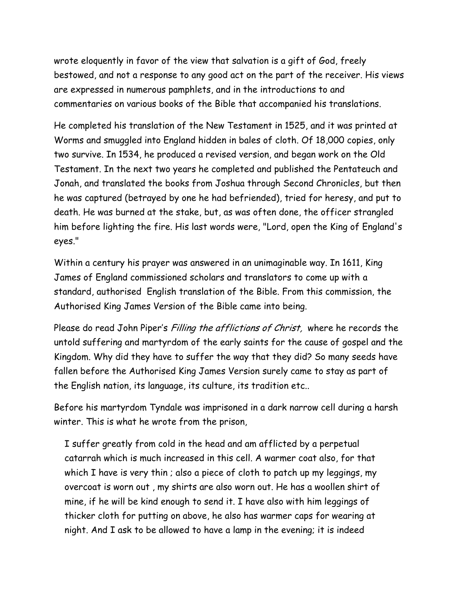wrote eloquently in favor of the view that salvation is a gift of God, freely bestowed, and not a response to any good act on the part of the receiver. His views are expressed in numerous pamphlets, and in the introductions to and commentaries on various books of the Bible that accompanied his translations.

He completed his translation of the New Testament in 1525, and it was printed at Worms and smuggled into England hidden in bales of cloth. Of 18,000 copies, only two survive. In 1534, he produced a revised version, and began work on the Old Testament. In the next two years he completed and published the Pentateuch and Jonah, and translated the books from Joshua through Second Chronicles, but then he was captured (betrayed by one he had befriended), tried for heresy, and put to death. He was burned at the stake, but, as was often done, the officer strangled him before lighting the fire. His last words were, "Lord, open the King of England's eyes."

Within a century his prayer was answered in an unimaginable way. In 1611, King James of England commissioned scholars and translators to come up with a standard, authorised English translation of the Bible. From this commission, the Authorised King James Version of the Bible came into being.

Please do read John Piper's Filling the afflictions of Christ, where he records the untold suffering and martyrdom of the early saints for the cause of gospel and the Kingdom. Why did they have to suffer the way that they did? So many seeds have fallen before the Authorised King James Version surely came to stay as part of the English nation, its language, its culture, its tradition etc..

Before his martyrdom Tyndale was imprisoned in a dark narrow cell during a harsh winter. This is what he wrote from the prison,

I suffer greatly from cold in the head and am afflicted by a perpetual catarrah which is much increased in this cell. A warmer coat also, for that which I have is very thin ; also a piece of cloth to patch up my leggings, my overcoat is worn out , my shirts are also worn out. He has a woollen shirt of mine, if he will be kind enough to send it. I have also with him leggings of thicker cloth for putting on above, he also has warmer caps for wearing at night. And I ask to be allowed to have a lamp in the evening; it is indeed